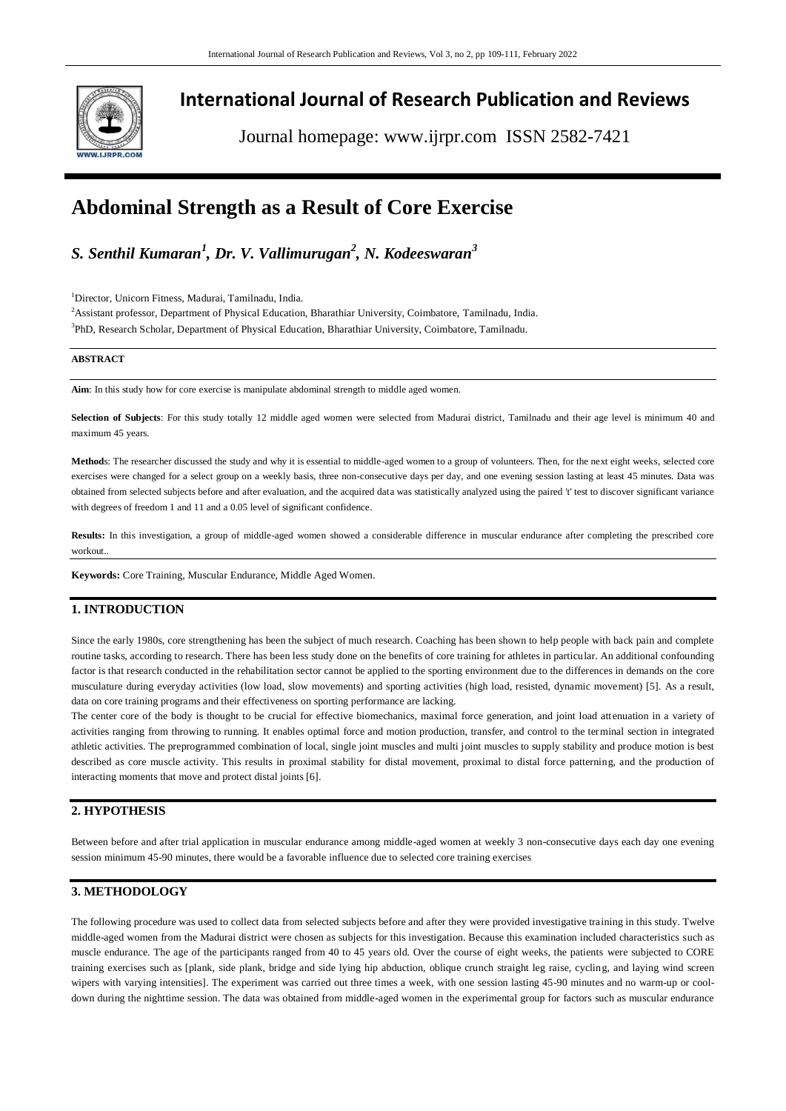

# **International Journal of Research Publication and Reviews**

Journal homepage: www.ijrpr.com ISSN 2582-7421

# **Abdominal Strength as a Result of Core Exercise**

*S. Senthil Kumaran<sup>1</sup> , Dr. V. Vallimurugan<sup>2</sup> , N. Kodeeswaran<sup>3</sup>*

<sup>1</sup>Director, Unicorn Fitness, Madurai, Tamilnadu, India.

<sup>2</sup>Assistant professor, Department of Physical Education, Bharathiar University, Coimbatore, Tamilnadu, India.

3 PhD, Research Scholar, Department of Physical Education, Bharathiar University, Coimbatore, Tamilnadu.

#### **ABSTRACT**

**Aim**: In this study how for core exercise is manipulate abdominal strength to middle aged women.

**Selection of Subjects**: For this study totally 12 middle aged women were selected from Madurai district, Tamilnadu and their age level is minimum 40 and maximum 45 years.

**Method**s: The researcher discussed the study and why it is essential to middle-aged women to a group of volunteers. Then, for the next eight weeks, selected core exercises were changed for a select group on a weekly basis, three non-consecutive days per day, and one evening session lasting at least 45 minutes. Data was obtained from selected subjects before and after evaluation, and the acquired data was statistically analyzed using the paired 't' test to discover significant variance with degrees of freedom 1 and 11 and a 0.05 level of significant confidence.

**Results:** In this investigation, a group of middle-aged women showed a considerable difference in muscular endurance after completing the prescribed core workout..

**Keywords:** Core Training, Muscular Endurance, Middle Aged Women.

### **1. INTRODUCTION**

Since the early 1980s, core strengthening has been the subject of much research. Coaching has been shown to help people with back pain and complete routine tasks, according to research. There has been less study done on the benefits of core training for athletes in particular. An additional confounding factor is that research conducted in the rehabilitation sector cannot be applied to the sporting environment due to the differences in demands on the core musculature during everyday activities (low load, slow movements) and sporting activities (high load, resisted, dynamic movement) [5]. As a result, data on core training programs and their effectiveness on sporting performance are lacking.

The center core of the body is thought to be crucial for effective biomechanics, maximal force generation, and joint load attenuation in a variety of activities ranging from throwing to running. It enables optimal force and motion production, transfer, and control to the terminal section in integrated athletic activities. The preprogrammed combination of local, single joint muscles and multi joint muscles to supply stability and produce motion is best described as core muscle activity. This results in proximal stability for distal movement, proximal to distal force patterning, and the production of interacting moments that move and protect distal joints [6].

## **2. HYPOTHESIS**

Between before and after trial application in muscular endurance among middle-aged women at weekly 3 non-consecutive days each day one evening session minimum 45-90 minutes, there would be a favorable influence due to selected core training exercises

## **3. METHODOLOGY**

The following procedure was used to collect data from selected subjects before and after they were provided investigative training in this study. Twelve middle-aged women from the Madurai district were chosen as subjects for this investigation. Because this examination included characteristics such as muscle endurance. The age of the participants ranged from 40 to 45 years old. Over the course of eight weeks, the patients were subjected to CORE training exercises such as [plank, side plank, bridge and side lying hip abduction, oblique crunch straight leg raise, cycling, and laying wind screen wipers with varying intensities]. The experiment was carried out three times a week, with one session lasting 45-90 minutes and no warm-up or cooldown during the nighttime session. The data was obtained from middle-aged women in the experimental group for factors such as muscular endurance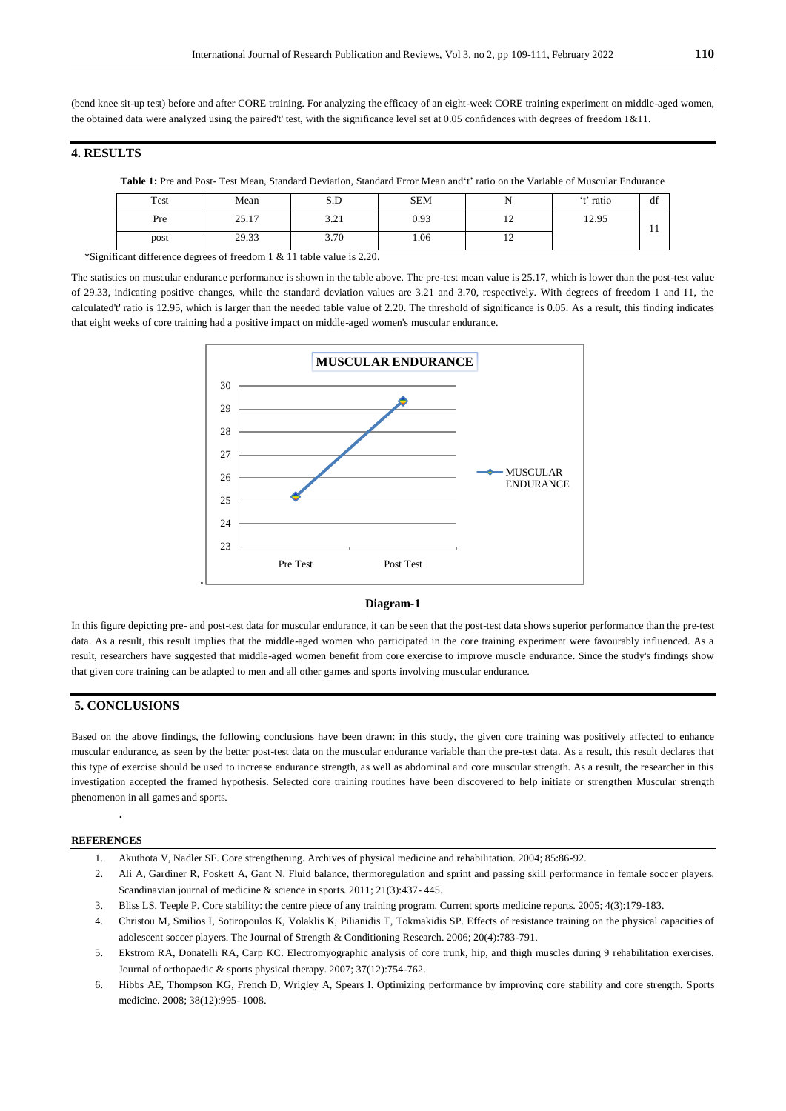(bend knee sit-up test) before and after CORE training. For analyzing the efficacy of an eight-week CORE training experiment on middle-aged women, the obtained data were analyzed using the paired't' test, with the significance level set at 0.05 confidences with degrees of freedom 1&11.

## **4. RESULTS**

| <b>Table 1:</b> Pre and Post-Test Mean, Standard Deviation, Standard Error Mean and t' ratio on the Variable of Muscular Endurance |  |  |  |  |
|------------------------------------------------------------------------------------------------------------------------------------|--|--|--|--|
|                                                                                                                                    |  |  |  |  |

| Test | Mean  | S.D            | <b>SEM</b> | . .                      | <sup>t</sup> ratio | df  |
|------|-------|----------------|------------|--------------------------|--------------------|-----|
| Pre  | 25.17 | 2.21<br>⊥ ے. د | 0.93       | $\sim$<br>$\overline{1}$ | 12.95              | . . |
| post | 29.33 | 3.70           | 1.06       | $\overline{1}$           |                    |     |

\*Significant difference degrees of freedom 1 & 11 table value is 2.20.

The statistics on muscular endurance performance is shown in the table above. The pre-test mean value is 25.17, which is lower than the post-test value of 29.33, indicating positive changes, while the standard deviation values are 3.21 and 3.70, respectively. With degrees of freedom 1 and 11, the calculated't' ratio is 12.95, which is larger than the needed table value of 2.20. The threshold of significance is 0.05. As a result, this finding indicates that eight weeks of core training had a positive impact on middle-aged women's muscular endurance.



#### **Diagram-1**

In this figure depicting pre- and post-test data for muscular endurance, it can be seen that the post-test data shows superior performance than the pre-test data. As a result, this result implies that the middle-aged women who participated in the core training experiment were favourably influenced. As a result, researchers have suggested that middle-aged women benefit from core exercise to improve muscle endurance. Since the study's findings show that given core training can be adapted to men and all other games and sports involving muscular endurance.

## **5. CONCLUSIONS**

Based on the above findings, the following conclusions have been drawn: in this study, the given core training was positively affected to enhance muscular endurance, as seen by the better post-test data on the muscular endurance variable than the pre-test data. As a result, this result declares that this type of exercise should be used to increase endurance strength, as well as abdominal and core muscular strength. As a result, the researcher in this investigation accepted the framed hypothesis. Selected core training routines have been discovered to help initiate or strengthen Muscular strength phenomenon in all games and sports.

#### **REFERENCES**

.

- 1. Akuthota V, Nadler SF. Core strengthening. Archives of physical medicine and rehabilitation. 2004; 85:86-92.
- 2. Ali A, Gardiner R, Foskett A, Gant N. Fluid balance, thermoregulation and sprint and passing skill performance in female soccer players. Scandinavian journal of medicine & science in sports. 2011; 21(3):437- 445.
- 3. Bliss LS, Teeple P. Core stability: the centre piece of any training program. Current sports medicine reports. 2005; 4(3):179-183.
- 4. Christou M, Smilios I, Sotiropoulos K, Volaklis K, Pilianidis T, Tokmakidis SP. Effects of resistance training on the physical capacities of adolescent soccer players. The Journal of Strength & Conditioning Research. 2006; 20(4):783-791.
- 5. Ekstrom RA, Donatelli RA, Carp KC. Electromyographic analysis of core trunk, hip, and thigh muscles during 9 rehabilitation exercises. Journal of orthopaedic & sports physical therapy. 2007; 37(12):754-762.
- 6. Hibbs AE, Thompson KG, French D, Wrigley A, Spears I. Optimizing performance by improving core stability and core strength. Sports medicine. 2008; 38(12):995- 1008.